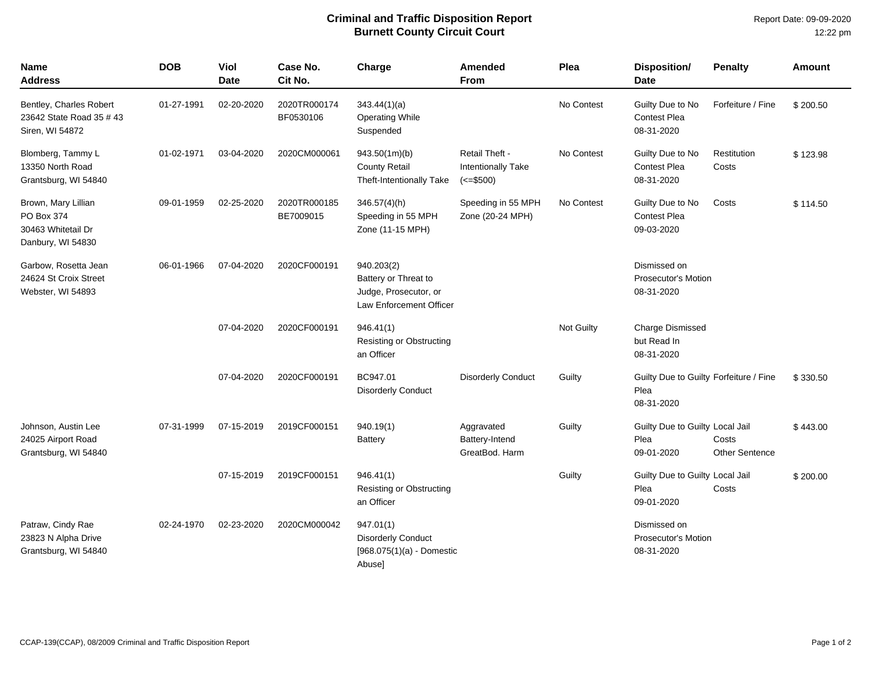## **Criminal and Traffic Disposition Report Burnett County Circuit Court**

Report Date: 09-09-2020 12:22 pm

| <b>Name</b><br><b>Address</b>                                                    | <b>DOB</b> | Viol<br><b>Date</b> | Case No.<br>Cit No.       | Charge                                                                                 | Amended<br><b>From</b>                                           | Plea       | <b>Disposition/</b><br><b>Date</b>                           | <b>Penalty</b>                 | <b>Amount</b> |
|----------------------------------------------------------------------------------|------------|---------------------|---------------------------|----------------------------------------------------------------------------------------|------------------------------------------------------------------|------------|--------------------------------------------------------------|--------------------------------|---------------|
| Bentley, Charles Robert<br>23642 State Road 35 # 43<br>Siren, WI 54872           | 01-27-1991 | 02-20-2020          | 2020TR000174<br>BF0530106 | 343.44(1)(a)<br><b>Operating While</b><br>Suspended                                    |                                                                  | No Contest | Guilty Due to No<br>Contest Plea<br>08-31-2020               | Forfeiture / Fine              | \$200.50      |
| Blomberg, Tammy L<br>13350 North Road<br>Grantsburg, WI 54840                    | 01-02-1971 | 03-04-2020          | 2020CM000061              | 943.50(1m)(b)<br><b>County Retail</b><br><b>Theft-Intentionally Take</b>               | Retail Theft -<br>Intentionally Take<br>$\left( \le 500 \right)$ | No Contest | Guilty Due to No<br><b>Contest Plea</b><br>08-31-2020        | Restitution<br>Costs           | \$123.98      |
| Brown, Mary Lillian<br>PO Box 374<br>30463 Whitetail Dr<br>Danbury, WI 54830     | 09-01-1959 | 02-25-2020          | 2020TR000185<br>BE7009015 | $346.57(4)$ (h)<br>Speeding in 55 MPH<br>Zone (11-15 MPH)                              | Speeding in 55 MPH<br>Zone (20-24 MPH)                           | No Contest | Guilty Due to No<br><b>Contest Plea</b><br>09-03-2020        | Costs                          | \$114.50      |
| Garbow, Rosetta Jean<br>06-01-1966<br>24624 St Croix Street<br>Webster, WI 54893 |            | 07-04-2020          | 2020CF000191              | 940.203(2)<br>Battery or Threat to<br>Judge, Prosecutor, or<br>Law Enforcement Officer |                                                                  |            | Dismissed on<br><b>Prosecutor's Motion</b><br>08-31-2020     |                                |               |
|                                                                                  |            | 07-04-2020          | 2020CF000191              | 946.41(1)<br><b>Resisting or Obstructing</b><br>an Officer                             |                                                                  | Not Guilty | <b>Charge Dismissed</b><br>but Read In<br>08-31-2020         |                                |               |
|                                                                                  |            | 07-04-2020          | 2020CF000191              | BC947.01<br><b>Disorderly Conduct</b>                                                  | <b>Disorderly Conduct</b>                                        | Guilty     | Guilty Due to Guilty Forfeiture / Fine<br>Plea<br>08-31-2020 |                                | \$330.50      |
| Johnson, Austin Lee<br>24025 Airport Road<br>Grantsburg, WI 54840                | 07-31-1999 | 07-15-2019          | 2019CF000151              | 940.19(1)<br><b>Battery</b>                                                            | Aggravated<br>Battery-Intend<br>GreatBod, Harm                   | Guilty     | Guilty Due to Guilty Local Jail<br>Plea<br>09-01-2020        | Costs<br><b>Other Sentence</b> | \$443.00      |
|                                                                                  |            | 07-15-2019          | 2019CF000151              | 946.41(1)<br>Resisting or Obstructing<br>an Officer                                    |                                                                  | Guilty     | Guilty Due to Guilty Local Jail<br>Plea<br>09-01-2020        | Costs                          | \$200.00      |
| Patraw, Cindy Rae<br>23823 N Alpha Drive<br>Grantsburg, WI 54840                 | 02-24-1970 | 02-23-2020          | 2020CM000042              | 947.01(1)<br><b>Disorderly Conduct</b><br>[968.075(1)(a) - Domestic<br>Abuse]          |                                                                  |            | Dismissed on<br><b>Prosecutor's Motion</b><br>08-31-2020     |                                |               |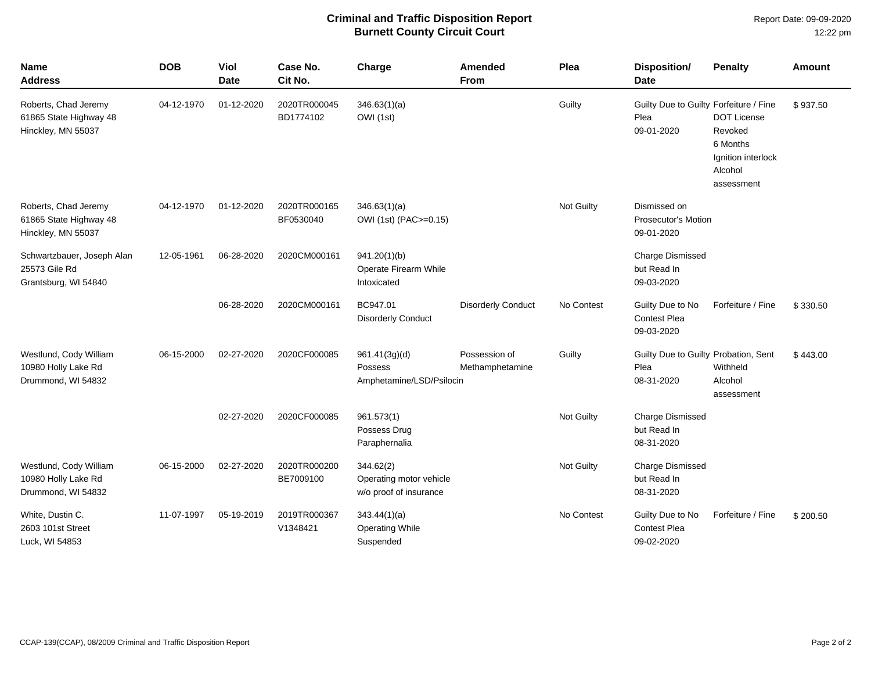## **Criminal and Traffic Disposition Report Burnett County Circuit Court**

Report Date: 09-09-2020 12:22 pm

| <b>Name</b><br><b>Address</b>                                        | <b>DOB</b> | Viol<br><b>Date</b> | Case No.<br>Cit No.       | Charge                                                         | <b>Amended</b><br>From           | Plea       | Disposition/<br><b>Date</b>                                  | <b>Penalty</b>                                                                           | <b>Amount</b> |
|----------------------------------------------------------------------|------------|---------------------|---------------------------|----------------------------------------------------------------|----------------------------------|------------|--------------------------------------------------------------|------------------------------------------------------------------------------------------|---------------|
| Roberts, Chad Jeremy<br>61865 State Highway 48<br>Hinckley, MN 55037 | 04-12-1970 | 01-12-2020          | 2020TR000045<br>BD1774102 | 346.63(1)(a)<br>OWI (1st)                                      |                                  | Guilty     | Guilty Due to Guilty Forfeiture / Fine<br>Plea<br>09-01-2020 | <b>DOT License</b><br>Revoked<br>6 Months<br>Ignition interlock<br>Alcohol<br>assessment | \$937.50      |
| Roberts, Chad Jeremy<br>61865 State Highway 48<br>Hinckley, MN 55037 | 04-12-1970 | 01-12-2020          | 2020TR000165<br>BF0530040 | 346.63(1)(a)<br>OWI (1st) (PAC>=0.15)                          |                                  | Not Guilty | Dismissed on<br><b>Prosecutor's Motion</b><br>09-01-2020     |                                                                                          |               |
| Schwartzbauer, Joseph Alan<br>25573 Gile Rd<br>Grantsburg, WI 54840  | 12-05-1961 | 06-28-2020          | 2020CM000161              | 941.20(1)(b)<br>Operate Firearm While<br>Intoxicated           |                                  |            | <b>Charge Dismissed</b><br>but Read In<br>09-03-2020         |                                                                                          |               |
|                                                                      |            | 06-28-2020          | 2020CM000161              | BC947.01<br><b>Disorderly Conduct</b>                          | <b>Disorderly Conduct</b>        | No Contest | Guilty Due to No<br><b>Contest Plea</b><br>09-03-2020        | Forfeiture / Fine                                                                        | \$330.50      |
| Westlund, Cody William<br>10980 Holly Lake Rd<br>Drummond, WI 54832  | 06-15-2000 | 02-27-2020          | 2020CF000085              | 961.41(3g)(d)<br>Possess<br>Amphetamine/LSD/Psilocin           | Possession of<br>Methamphetamine | Guilty     | Guilty Due to Guilty Probation, Sent<br>Plea<br>08-31-2020   | Withheld<br>Alcohol<br>assessment                                                        | \$443.00      |
|                                                                      |            | 02-27-2020          | 2020CF000085              | 961.573(1)<br>Possess Drug<br>Paraphernalia                    |                                  | Not Guilty | <b>Charge Dismissed</b><br>but Read In<br>08-31-2020         |                                                                                          |               |
| Westlund, Cody William<br>10980 Holly Lake Rd<br>Drummond, WI 54832  | 06-15-2000 | 02-27-2020          | 2020TR000200<br>BE7009100 | 344.62(2)<br>Operating motor vehicle<br>w/o proof of insurance |                                  | Not Guilty | <b>Charge Dismissed</b><br>but Read In<br>08-31-2020         |                                                                                          |               |
| White, Dustin C.<br>2603 101st Street<br>Luck, WI 54853              | 11-07-1997 | 05-19-2019          | 2019TR000367<br>V1348421  | 343.44(1)(a)<br><b>Operating While</b><br>Suspended            |                                  | No Contest | Guilty Due to No<br><b>Contest Plea</b><br>09-02-2020        | Forfeiture / Fine                                                                        | \$200.50      |